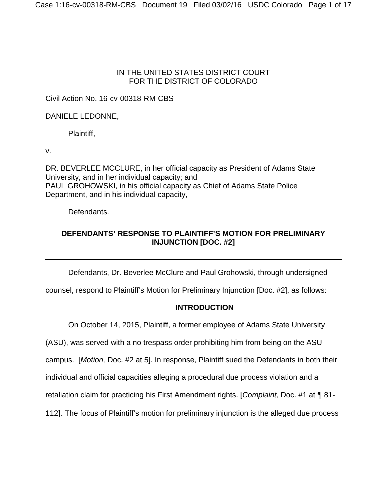## IN THE UNITED STATES DISTRICT COURT FOR THE DISTRICT OF COLORADO

# Civil Action No. 16-cv-00318-RM-CBS

## DANIELE LEDONNE,

Plaintiff,

v.

DR. BEVERLEE MCCLURE, in her official capacity as President of Adams State University, and in her individual capacity; and PAUL GROHOWSKI, in his official capacity as Chief of Adams State Police Department, and in his individual capacity,

Defendants.

# **DEFENDANTS' RESPONSE TO PLAINTIFF'S MOTION FOR PRELIMINARY INJUNCTION [DOC. #2]**

Defendants, Dr. Beverlee McClure and Paul Grohowski, through undersigned

counsel, respond to Plaintiff's Motion for Preliminary Injunction [Doc. #2], as follows:

# **INTRODUCTION**

On October 14, 2015, Plaintiff, a former employee of Adams State University

(ASU), was served with a no trespass order prohibiting him from being on the ASU

campus. [*Motion,* Doc. #2 at 5]. In response, Plaintiff sued the Defendants in both their

individual and official capacities alleging a procedural due process violation and a

retaliation claim for practicing his First Amendment rights. [*Complaint,* Doc. #1 at ¶ 81-

112]. The focus of Plaintiff's motion for preliminary injunction is the alleged due process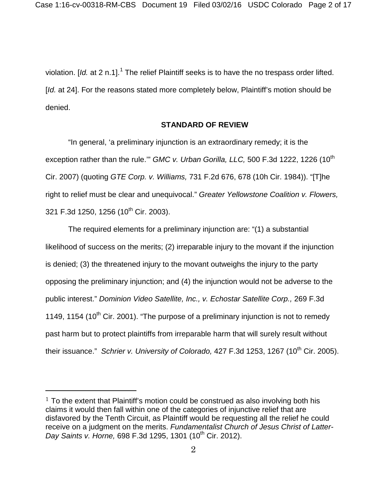violation. [Id. at 2 n.[1](#page-1-0)].<sup>1</sup> The relief Plaintiff seeks is to have the no trespass order lifted. [*Id.* at 24]. For the reasons stated more completely below, Plaintiff's motion should be denied.

### **STANDARD OF REVIEW**

"In general, 'a preliminary injunction is an extraordinary remedy; it is the exception rather than the rule." *GMC v. Urban Gorilla, LLC,* 500 F.3d 1222, 1226 (10<sup>th</sup> Cir. 2007) (quoting *GTE Corp. v. Williams,* 731 F.2d 676, 678 (10h Cir. 1984)). "[T]he right to relief must be clear and unequivocal." *Greater Yellowstone Coalition v. Flowers,* 321 F.3d 1250, 1256 (10<sup>th</sup> Cir. 2003).

The required elements for a preliminary injunction are: "(1) a substantial likelihood of success on the merits; (2) irreparable injury to the movant if the injunction is denied; (3) the threatened injury to the movant outweighs the injury to the party opposing the preliminary injunction; and (4) the injunction would not be adverse to the public interest." *Dominion Video Satellite, Inc., v. Echostar Satellite Corp.,* 269 F.3d 1149, 1154 (10<sup>th</sup> Cir. 2001). "The purpose of a preliminary injunction is not to remedy past harm but to protect plaintiffs from irreparable harm that will surely result without their issuance." *Schrier v. University of Colorado*, 427 F.3d 1253, 1267 (10<sup>th</sup> Cir. 2005).

 $\overline{a}$ 

<span id="page-1-0"></span> $1$  To the extent that Plaintiff's motion could be construed as also involving both his claims it would then fall within one of the categories of injunctive relief that are disfavored by the Tenth Circuit, as Plaintiff would be requesting all the relief he could receive on a judgment on the merits. *Fundamentalist Church of Jesus Christ of Latter-Day Saints v. Horne, 698 F.3d 1295, 1301 (10<sup>th</sup> Cir. 2012).*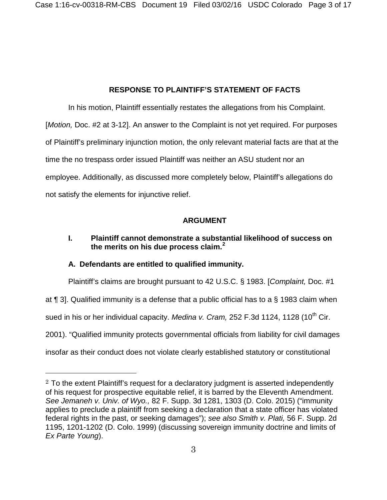# **RESPONSE TO PLAINTIFF'S STATEMENT OF FACTS**

In his motion, Plaintiff essentially restates the allegations from his Complaint. [*Motion*, Doc. #2 at 3-12]. An answer to the Complaint is not yet required. For purposes of Plaintiff's preliminary injunction motion, the only relevant material facts are that at the time the no trespass order issued Plaintiff was neither an ASU student nor an employee. Additionally, as discussed more completely below, Plaintiff's allegations do not satisfy the elements for injunctive relief.

# **ARGUMENT**

# **I. Plaintiff cannot demonstrate a substantial likelihood of success on the merits on his due process claim. [2](#page-2-0)**

## **A. Defendants are entitled to qualified immunity.**

l

Plaintiff's claims are brought pursuant to 42 U.S.C. § 1983. [*Complaint,* Doc. #1

at ¶ 3]. Qualified immunity is a defense that a public official has to a § 1983 claim when

sued in his or her individual capacity. *Medina v. Cram*, 252 F.3d 1124, 1128 (10<sup>th</sup> Cir.

2001). "Qualified immunity protects governmental officials from liability for civil damages

insofar as their conduct does not violate clearly established statutory or constitutional

<span id="page-2-0"></span> $2$  To the extent Plaintiff's request for a declaratory judgment is asserted independently of his request for prospective equitable relief, it is barred by the Eleventh Amendment. *See Jemaneh v. Univ. of Wyo.,* 82 F. Supp. 3d 1281, 1303 (D. Colo. 2015) ("immunity applies to preclude a plaintiff from seeking a declaration that a state officer has violated federal rights in the past, or seeking damages"); *see also Smith v. Plati,* 56 F. Supp. 2d 1195, 1201-1202 (D. Colo. 1999) (discussing sovereign immunity doctrine and limits of *Ex Parte Young*).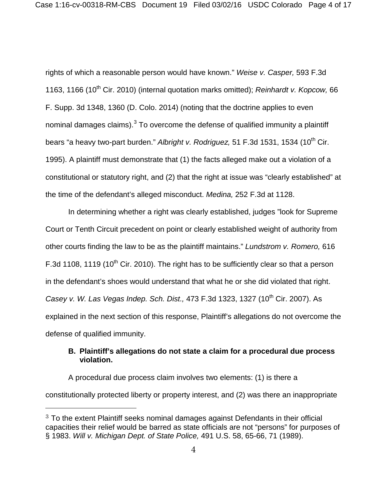rights of which a reasonable person would have known." *Weise v. Casper,* 593 F.3d 1163, 1166 (10<sup>th</sup> Cir. 2010) (internal quotation marks omitted); *Reinhardt v. Kopcow*, 66 F. Supp. 3d 1348, 1360 (D. Colo. 2014) (noting that the doctrine applies to even nominal damages claims). $3$  To overcome the defense of qualified immunity a plaintiff bears "a heavy two-part burden." Albright v. Rodriguez, 51 F.3d 1531, 1534 (10<sup>th</sup> Cir. 1995). A plaintiff must demonstrate that (1) the facts alleged make out a violation of a constitutional or statutory right, and (2) that the right at issue was "clearly established" at the time of the defendant's alleged misconduct. *Medina,* 252 F.3d at 1128.

In determining whether a right was clearly established, judges "look for Supreme Court or Tenth Circuit precedent on point or clearly established weight of authority from other courts finding the law to be as the plaintiff maintains." *Lundstrom v. Romero,* 616 F.3d 1108, 1119 (10<sup>th</sup> Cir. 2010). The right has to be sufficiently clear so that a person in the defendant's shoes would understand that what he or she did violated that right. *Casey v. W. Las Vegas Indep. Sch. Dist., 473 F.3d 1323, 1327 (10<sup>th</sup> Cir. 2007). As* explained in the next section of this response, Plaintiff's allegations do not overcome the defense of qualified immunity.

## **B. Plaintiff's allegations do not state a claim for a procedural due process violation.**

A procedural due process claim involves two elements: (1) is there a constitutionally protected liberty or property interest, and (2) was there an inappropriate

 $\overline{a}$ 

<span id="page-3-0"></span> $3$  To the extent Plaintiff seeks nominal damages against Defendants in their official capacities their relief would be barred as state officials are not "persons" for purposes of § 1983. *Will v. Michigan Dept. of State Police,* 491 U.S. 58, 65-66, 71 (1989).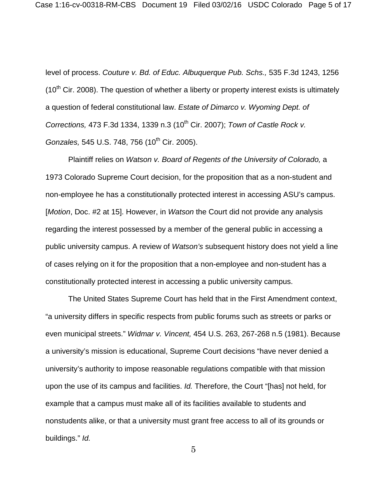level of process. *Couture v. Bd. of Educ. Albuquerque Pub. Schs.,* 535 F.3d 1243, 1256  $(10<sup>th</sup>$  Cir. 2008). The question of whether a liberty or property interest exists is ultimately a question of federal constitutional law. *Estate of Dimarco v. Wyoming Dept. of Corrections, 473 F.3d 1334, 1339 n.3 (10<sup>th</sup> Cir. 2007); <i>Town of Castle Rock v. Gonzales,* 545 U.S. 748, 756 (10<sup>th</sup> Cir. 2005).

Plaintiff relies on *Watson v. Board of Regents of the University of Colorado,* a 1973 Colorado Supreme Court decision, for the proposition that as a non-student and non-employee he has a constitutionally protected interest in accessing ASU's campus. [*Motion*, Doc. #2 at 15]. However, in *Watson* the Court did not provide any analysis regarding the interest possessed by a member of the general public in accessing a public university campus. A review of *Watson's* subsequent history does not yield a line of cases relying on it for the proposition that a non-employee and non-student has a constitutionally protected interest in accessing a public university campus.

The United States Supreme Court has held that in the First Amendment context, "a university differs in specific respects from public forums such as streets or parks or even municipal streets." *Widmar v. Vincent,* 454 U.S. 263, 267-268 n.5 (1981). Because a university's mission is educational, Supreme Court decisions "have never denied a university's authority to impose reasonable regulations compatible with that mission upon the use of its campus and facilities. *Id.* Therefore, the Court "[has] not held, for example that a campus must make all of its facilities available to students and nonstudents alike, or that a university must grant free access to all of its grounds or buildings." *Id.*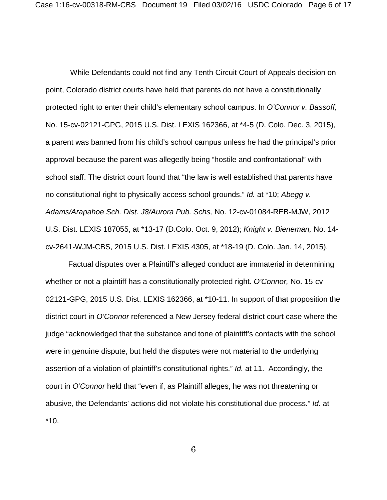While Defendants could not find any Tenth Circuit Court of Appeals decision on point, Colorado district courts have held that parents do not have a constitutionally protected right to enter their child's elementary school campus. In *O'Connor v. Bassoff,* No. 15-cv-02121-GPG, 2015 U.S. Dist. LEXIS 162366, at \*4-5 (D. Colo. Dec. 3, 2015), a parent was banned from his child's school campus unless he had the principal's prior approval because the parent was allegedly being "hostile and confrontational" with school staff. The district court found that "the law is well established that parents have no constitutional right to physically access school grounds." *Id.* at \*10; *Abegg v. Adams/Arapahoe Sch. Dist. J8/Aurora Pub. Schs,* No. 12-cv-01084-REB-MJW, 2012 U.S. Dist. LEXIS 187055, at \*13-17 (D.Colo. Oct. 9, 2012); *Knight v. Bieneman,* No. 14 cv-2641-WJM-CBS, 2015 U.S. Dist. LEXIS 4305, at \*18-19 (D. Colo. Jan. 14, 2015).

Factual disputes over a Plaintiff's alleged conduct are immaterial in determining whether or not a plaintiff has a constitutionally protected right. *O'Connor,* No. 15-cv-02121-GPG, 2015 U.S. Dist. LEXIS 162366, at \*10-11. In support of that proposition the district court in *O'Connor* referenced a New Jersey federal district court case where the judge "acknowledged that the substance and tone of plaintiff's contacts with the school were in genuine dispute, but held the disputes were not material to the underlying assertion of a violation of plaintiff's constitutional rights." *Id.* at 11. Accordingly, the court in *O'Connor* held that "even if, as Plaintiff alleges, he was not threatening or abusive, the Defendants' actions did not violate his constitutional due process." *Id.* at \*10.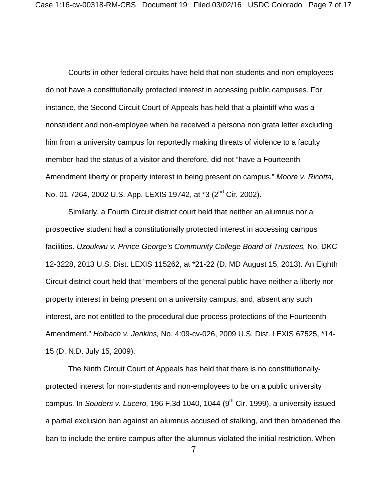Courts in other federal circuits have held that non-students and non-employees do not have a constitutionally protected interest in accessing public campuses. For instance, the Second Circuit Court of Appeals has held that a plaintiff who was a nonstudent and non-employee when he received a persona non grata letter excluding him from a university campus for reportedly making threats of violence to a faculty member had the status of a visitor and therefore, did not "have a Fourteenth Amendment liberty or property interest in being present on campus." *Moore v. Ricotta,*  No. 01-7264, 2002 U.S. App. LEXIS 19742, at \*3 (2nd Cir. 2002).

Similarly, a Fourth Circuit district court held that neither an alumnus nor a prospective student had a constitutionally protected interest in accessing campus facilities. *Uzoukwu v. Prince George's Community College Board of Trustees,* No. DKC 12-3228, 2013 U.S. Dist. LEXIS 115262, at \*21-22 (D. MD August 15, 2013). An Eighth Circuit district court held that "members of the general public have neither a liberty nor property interest in being present on a university campus, and, absent any such interest, are not entitled to the procedural due process protections of the Fourteenth Amendment." *Holbach v. Jenkins,* No. 4:09-cv-026, 2009 U.S. Dist. LEXIS 67525, \*14- 15 (D. N.D. July 15, 2009).

The Ninth Circuit Court of Appeals has held that there is no constitutionallyprotected interest for non-students and non-employees to be on a public university campus. In *Souders v. Lucero*, 196 F.3d 1040, 1044 (9<sup>th</sup> Cir. 1999), a university issued a partial exclusion ban against an alumnus accused of stalking, and then broadened the ban to include the entire campus after the alumnus violated the initial restriction. When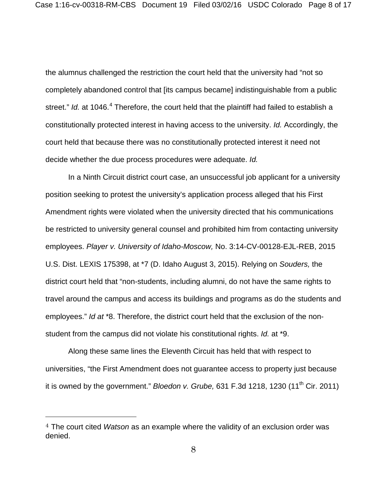the alumnus challenged the restriction the court held that the university had "not so completely abandoned control that [its campus became] indistinguishable from a public street." *Id.* at 10[4](#page-7-0)6.<sup>4</sup> Therefore, the court held that the plaintiff had failed to establish a constitutionally protected interest in having access to the university. *Id.* Accordingly, the court held that because there was no constitutionally protected interest it need not decide whether the due process procedures were adequate. *Id.*

In a Ninth Circuit district court case, an unsuccessful job applicant for a university position seeking to protest the university's application process alleged that his First Amendment rights were violated when the university directed that his communications be restricted to university general counsel and prohibited him from contacting university employees. *Player v. University of Idaho-Moscow,* No. 3:14-CV-00128-EJL-REB, 2015 U.S. Dist. LEXIS 175398, at \*7 (D. Idaho August 3, 2015). Relying on *Souders,* the district court held that "non-students, including alumni, do not have the same rights to travel around the campus and access its buildings and programs as do the students and employees." *Id at* \*8. Therefore, the district court held that the exclusion of the nonstudent from the campus did not violate his constitutional rights. *Id.* at \*9.

Along these same lines the Eleventh Circuit has held that with respect to universities, "the First Amendment does not guarantee access to property just because it is owned by the government." *Bloedon v. Grube,* 631 F.3d 1218, 1230 (11th Cir. 2011)

l

<span id="page-7-0"></span><sup>4</sup> The court cited *Watson* as an example where the validity of an exclusion order was denied.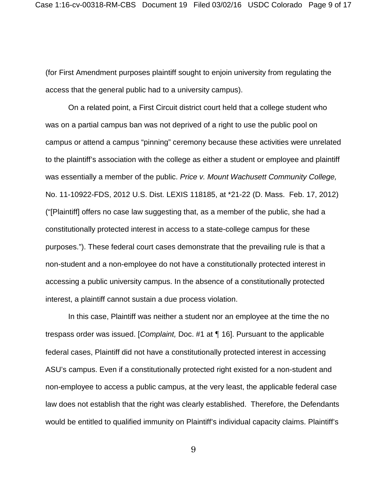(for First Amendment purposes plaintiff sought to enjoin university from regulating the access that the general public had to a university campus).

On a related point, a First Circuit district court held that a college student who was on a partial campus ban was not deprived of a right to use the public pool on campus or attend a campus "pinning" ceremony because these activities were unrelated to the plaintiff's association with the college as either a student or employee and plaintiff was essentially a member of the public. *Price v. Mount Wachusett Community College,*  No. 11-10922-FDS, 2012 U.S. Dist. LEXIS 118185, at \*21-22 (D. Mass. Feb. 17, 2012) ("[Plaintiff] offers no case law suggesting that, as a member of the public, she had a constitutionally protected interest in access to a state-college campus for these purposes."). These federal court cases demonstrate that the prevailing rule is that a non-student and a non-employee do not have a constitutionally protected interest in accessing a public university campus. In the absence of a constitutionally protected interest, a plaintiff cannot sustain a due process violation.

In this case, Plaintiff was neither a student nor an employee at the time the no trespass order was issued. [*Complaint,* Doc. #1 at ¶ 16]. Pursuant to the applicable federal cases, Plaintiff did not have a constitutionally protected interest in accessing ASU's campus. Even if a constitutionally protected right existed for a non-student and non-employee to access a public campus, at the very least, the applicable federal case law does not establish that the right was clearly established. Therefore, the Defendants would be entitled to qualified immunity on Plaintiff's individual capacity claims. Plaintiff's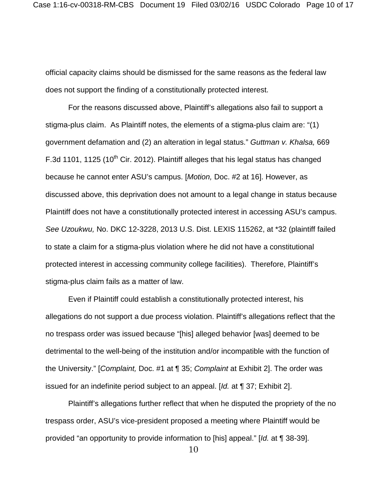official capacity claims should be dismissed for the same reasons as the federal law does not support the finding of a constitutionally protected interest.

For the reasons discussed above, Plaintiff's allegations also fail to support a stigma-plus claim. As Plaintiff notes, the elements of a stigma-plus claim are: "(1) government defamation and (2) an alteration in legal status." *Guttman v. Khalsa,* 669 F.3d 1101, 1125 (10<sup>th</sup> Cir. 2012). Plaintiff alleges that his legal status has changed because he cannot enter ASU's campus. [*Motion,* Doc. #2 at 16]. However, as discussed above, this deprivation does not amount to a legal change in status because Plaintiff does not have a constitutionally protected interest in accessing ASU's campus. *See Uzoukwu,* No. DKC 12-3228, 2013 U.S. Dist. LEXIS 115262, at \*32 (plaintiff failed to state a claim for a stigma-plus violation where he did not have a constitutional protected interest in accessing community college facilities). Therefore, Plaintiff's stigma-plus claim fails as a matter of law.

Even if Plaintiff could establish a constitutionally protected interest, his allegations do not support a due process violation. Plaintiff's allegations reflect that the no trespass order was issued because "[his] alleged behavior [was] deemed to be detrimental to the well-being of the institution and/or incompatible with the function of the University." [*Complaint,* Doc. #1 at ¶ 35; *Complaint* at Exhibit 2]. The order was issued for an indefinite period subject to an appeal. [*Id.* at ¶ 37; Exhibit 2].

Plaintiff's allegations further reflect that when he disputed the propriety of the no trespass order, ASU's vice-president proposed a meeting where Plaintiff would be provided "an opportunity to provide information to [his] appeal." [*Id.* at ¶ 38-39].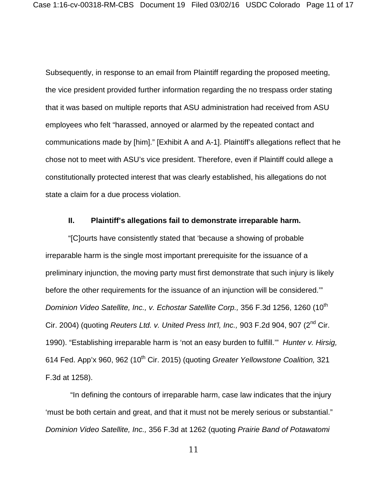Subsequently, in response to an email from Plaintiff regarding the proposed meeting, the vice president provided further information regarding the no trespass order stating that it was based on multiple reports that ASU administration had received from ASU employees who felt "harassed, annoyed or alarmed by the repeated contact and communications made by [him]." [Exhibit A and A-1]. Plaintiff's allegations reflect that he chose not to meet with ASU's vice president. Therefore, even if Plaintiff could allege a constitutionally protected interest that was clearly established, his allegations do not state a claim for a due process violation.

#### **II. Plaintiff's allegations fail to demonstrate irreparable harm.**

"[C]ourts have consistently stated that 'because a showing of probable irreparable harm is the single most important prerequisite for the issuance of a preliminary injunction, the moving party must first demonstrate that such injury is likely before the other requirements for the issuance of an injunction will be considered.'" *Dominion Video Satellite, Inc., v. Echostar Satellite Corp.,* 356 F.3d 1256, 1260 (10<sup>th</sup> Cir. 2004) (quoting *Reuters Ltd. v. United Press Int'l, Inc.,* 903 F.2d 904, 907 (2nd Cir. 1990). "Establishing irreparable harm is 'not an easy burden to fulfill.'" *Hunter v. Hirsig,*  614 Fed. App'x 960, 962 (10<sup>th</sup> Cir. 2015) (quoting *Greater Yellowstone Coalition*, 321 F.3d at 1258).

"In defining the contours of irreparable harm, case law indicates that the injury 'must be both certain and great, and that it must not be merely serious or substantial." *Dominion Video Satellite, Inc.,* 356 F.3d at 1262 (quoting *Prairie Band of Potawatomi*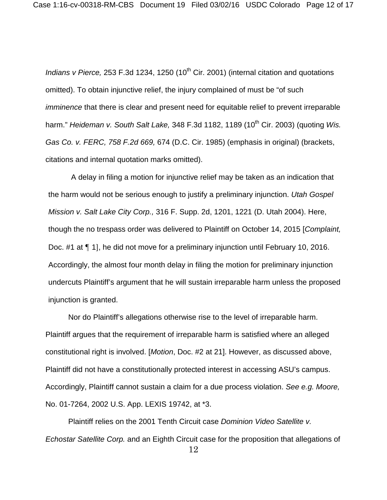*Indians v Pierce,* 253 F.3d 1234, 1250 (10<sup>th</sup> Cir. 2001) (internal citation and quotations omitted). To obtain injunctive relief, the injury complained of must be "of such *imminence* that there is clear and present need for equitable relief to prevent irreparable harm." *Heideman v. South Salt Lake,* 348 F.3d 1182, 1189 (10<sup>th</sup> Cir. 2003) (quoting *Wis. Gas Co. v. FERC, 758 F.2d 669,* 674 (D.C. Cir. 1985) (emphasis in original) (brackets, citations and internal quotation marks omitted).

A delay in filing a motion for injunctive relief may be taken as an indication that the harm would not be serious enough to justify a preliminary injunction. *Utah Gospel Mission v. Salt Lake City Corp.,* 316 F. Supp. 2d, 1201, 1221 (D. Utah 2004). Here, though the no trespass order was delivered to Plaintiff on October 14, 2015 [*Complaint,* Doc. #1 at ¶ 1], he did not move for a preliminary injunction until February 10, 2016. Accordingly, the almost four month delay in filing the motion for preliminary injunction undercuts Plaintiff's argument that he will sustain irreparable harm unless the proposed injunction is granted.

Nor do Plaintiff's allegations otherwise rise to the level of irreparable harm. Plaintiff argues that the requirement of irreparable harm is satisfied where an alleged constitutional right is involved. [*Motion*, Doc. #2 at 21]. However, as discussed above, Plaintiff did not have a constitutionally protected interest in accessing ASU's campus. Accordingly, Plaintiff cannot sustain a claim for a due process violation. *See e.g. Moore,* No. 01-7264, 2002 U.S. App. LEXIS 19742, at \*3.

Plaintiff relies on the 2001 Tenth Circuit case *Dominion Video Satellite v. Echostar Satellite Corp.* and an Eighth Circuit case for the proposition that allegations of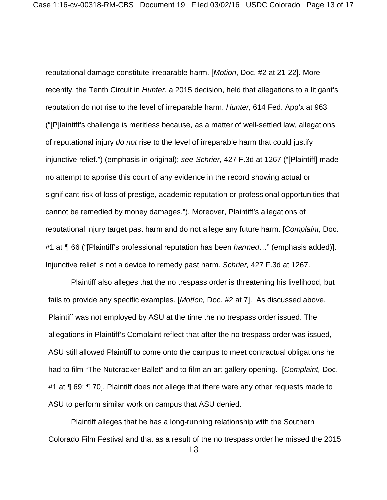reputational damage constitute irreparable harm. [*Motion*, Doc. #2 at 21-22]. More recently, the Tenth Circuit in *Hunter*, a 2015 decision, held that allegations to a litigant's reputation do not rise to the level of irreparable harm. *Hunter,* 614 Fed. App'x at 963 ("[P]laintiff's challenge is meritless because, as a matter of well-settled law, allegations of reputational injury *do not* rise to the level of irreparable harm that could justify injunctive relief.") (emphasis in original); *see Schrier,* 427 F.3d at 1267 ("[Plaintiff] made no attempt to apprise this court of any evidence in the record showing actual or significant risk of loss of prestige, academic reputation or professional opportunities that cannot be remedied by money damages."). Moreover, Plaintiff's allegations of reputational injury target past harm and do not allege any future harm. [*Complaint,* Doc. #1 at ¶ 66 ("[Plaintiff's professional reputation has been *harmed*…" (emphasis added)]. Injunctive relief is not a device to remedy past harm. *Schrier,* 427 F.3d at 1267.

Plaintiff also alleges that the no trespass order is threatening his livelihood, but fails to provide any specific examples. [*Motion,* Doc. #2 at 7]. As discussed above, Plaintiff was not employed by ASU at the time the no trespass order issued. The allegations in Plaintiff's Complaint reflect that after the no trespass order was issued, ASU still allowed Plaintiff to come onto the campus to meet contractual obligations he had to film "The Nutcracker Ballet" and to film an art gallery opening. [*Complaint,* Doc. #1 at ¶ 69; ¶ 70]. Plaintiff does not allege that there were any other requests made to ASU to perform similar work on campus that ASU denied.

Plaintiff alleges that he has a long-running relationship with the Southern Colorado Film Festival and that as a result of the no trespass order he missed the 2015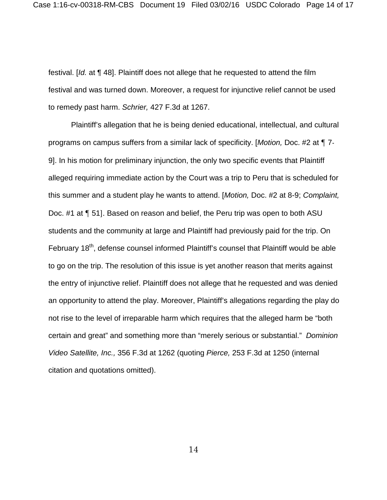festival. [*Id.* at ¶ 48]. Plaintiff does not allege that he requested to attend the film festival and was turned down. Moreover, a request for injunctive relief cannot be used to remedy past harm. *Schrier,* 427 F.3d at 1267.

Plaintiff's allegation that he is being denied educational, intellectual, and cultural programs on campus suffers from a similar lack of specificity. [*Motion,* Doc. #2 at ¶ 7- 9]. In his motion for preliminary injunction, the only two specific events that Plaintiff alleged requiring immediate action by the Court was a trip to Peru that is scheduled for this summer and a student play he wants to attend. [*Motion,* Doc. #2 at 8-9; *Complaint,* Doc. #1 at ¶ 51]. Based on reason and belief, the Peru trip was open to both ASU students and the community at large and Plaintiff had previously paid for the trip. On February 18<sup>th</sup>, defense counsel informed Plaintiff's counsel that Plaintiff would be able to go on the trip. The resolution of this issue is yet another reason that merits against the entry of injunctive relief. Plaintiff does not allege that he requested and was denied an opportunity to attend the play. Moreover, Plaintiff's allegations regarding the play do not rise to the level of irreparable harm which requires that the alleged harm be "both certain and great" and something more than "merely serious or substantial." *Dominion Video Satellite, Inc.,* 356 F.3d at 1262 (quoting *Pierce,* 253 F.3d at 1250 (internal citation and quotations omitted).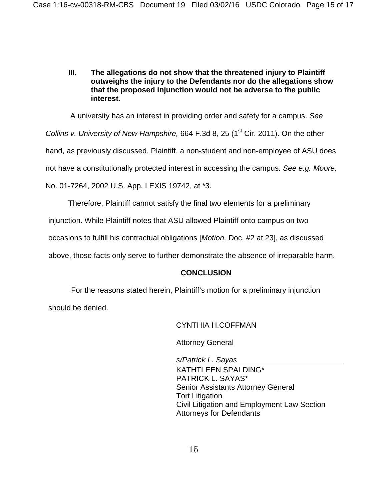**III. The allegations do not show that the threatened injury to Plaintiff outweighs the injury to the Defendants nor do the allegations show that the proposed injunction would not be adverse to the public interest.**

A university has an interest in providing order and safety for a campus. *See Collins v. University of New Hampshire,* 664 F.3d 8, 25 (1<sup>st</sup> Cir. 2011). On the other hand, as previously discussed, Plaintiff, a non-student and non-employee of ASU does not have a constitutionally protected interest in accessing the campus. *See e.g. Moore,*  No. 01-7264, 2002 U.S. App. LEXIS 19742, at \*3.

Therefore, Plaintiff cannot satisfy the final two elements for a preliminary

injunction. While Plaintiff notes that ASU allowed Plaintiff onto campus on two

occasions to fulfill his contractual obligations [*Motion,* Doc. #2 at 23], as discussed

above, those facts only serve to further demonstrate the absence of irreparable harm.

#### **CONCLUSION**

For the reasons stated herein, Plaintiff's motion for a preliminary injunction should be denied.

## CYNTHIA H.COFFMAN

Attorney General

*s/Patrick L. Sayas* KATHTLEEN SPALDING\* PATRICK L. SAYAS\* Senior Assistants Attorney General Tort Litigation Civil Litigation and Employment Law Section Attorneys for Defendants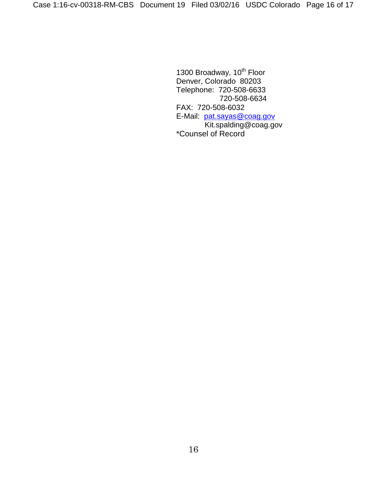1300 Broadway, 10<sup>th</sup> Floor Denver, Colorado 80203 Telephone: 720-508-6633 720-508-6634 FAX: 720-508-6032 E-Mail: [pat.sayas@coag.gov](mailto:pat.sayas@coag.gov) Kit.spalding@coag.gov \*Counsel of Record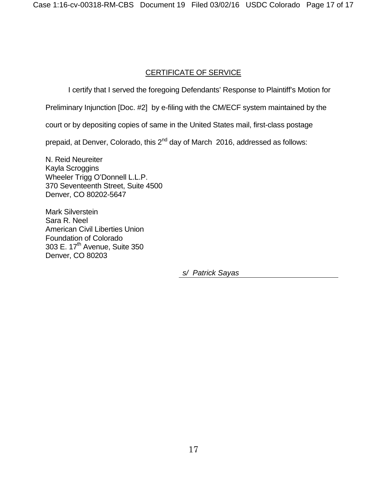# CERTIFICATE OF SERVICE

I certify that I served the foregoing Defendants' Response to Plaintiff's Motion for

Preliminary Injunction [Doc. #2] by e-filing with the CM/ECF system maintained by the

court or by depositing copies of same in the United States mail, first-class postage

prepaid, at Denver, Colorado, this  $2^{nd}$  day of March 2016, addressed as follows:

N. Reid Neureiter Kayla Scroggins Wheeler Trigg O'Donnell L.L.P. 370 Seventeenth Street, Suite 4500 Denver, CO 80202-5647

Mark Silverstein Sara R. Neel American Civil Liberties Union Foundation of Colorado 303 E. 17<sup>th</sup> Avenue, Suite 350 Denver, CO 80203

*s/ Patrick Sayas*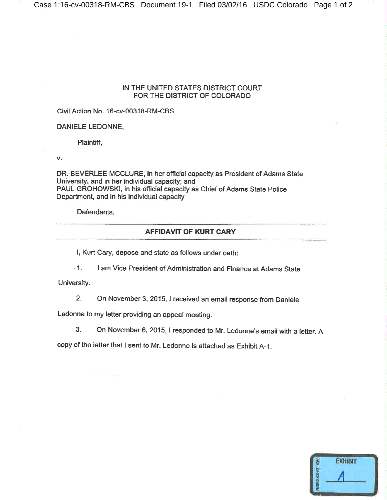#### IN THE UNITED STATES DISTRICT COURT FOR THE DISTRICT OF COLORADO

Civil Action No. 16-cv-00318-RM-CBS

DANIELE LEDONNE,

Plaintiff,

v.

DR. BEVERLEE MCCLURE, in her official capacity as President of Adams State University, and in her individual capacity; and PAUL GROHOWSKI, in his official capacity as Chief of Adams State Police Department, and in his individual capacity

Defendants.

#### AFFIDAVIT OF KURT CARY

I, Kurt Cary, depose and state as follows under oath:

 $-1.$ I am Vice President of Administration and Finance at Adams State

University.

 $2.$ On November 3, 2015, I received an email response from Daniele

Ledonne to my letter providing an appeal meeting.

3. On November 6, 2015, I responded to Mr. Ledonne's email with a letter. A

copy of the letter that I sent to Mr. Ledonne is attached as Exhibit A-1.

| <b>EXHIBIT</b> |  |
|----------------|--|
|                |  |
|                |  |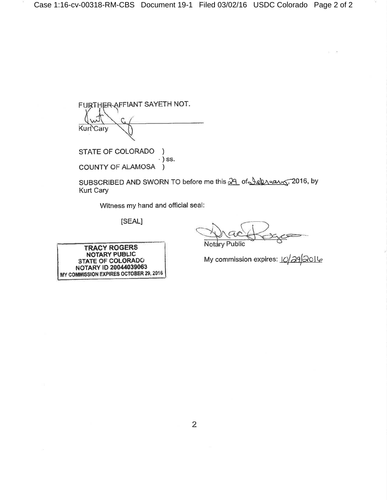FURTHER AFFIANT SAYETH NOT. Kurt Cary

STATE OF COLORADO  $\lambda$  $\cdot$ ) ss. **COUNTY OF ALAMOSA**  $\lambda$ 

SUBSCRIBED AND SWORN TO before me this 29 of Jeb ruarg, 2016, by Kurt Cary

Witness my hand and official seal:

[SEAL]

**Notary Public** 

My commission expires: 10/292016

**TRACY ROGERS** NOTARY PUBLIC **STATE OF COLORADO** NOTARY ID 20044039063 MY COMMISSION EXPIRES OCTOBER 29, 2016

 $\overline{2}$